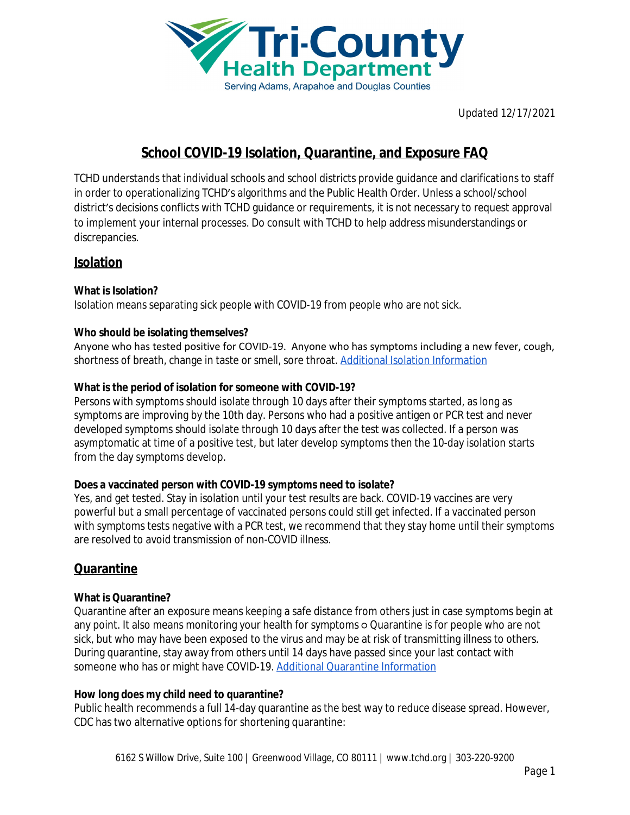

# **School COVID-19 Isolation, Quarantine, and Exposure FAQ**

TCHD understands that individual schools and school districts provide guidance and clarifications to staff in order to operationalizing TCHD's algorithms and the Public Health Order. Unless a school/school district's decisions conflicts with TCHD guidance or requirements, it is not necessary to request approval to implement your internal processes. Do consult with TCHD to help address misunderstandings or discrepancies.

# **Isolation**

# **What is Isolation?**

Isolation means separating sick people with COVID-19 from people who are not sick.

#### **Who should be isolating themselves?**

Anyone who has tested positive for COVID-19. Anyone who has symptoms including a new fever, cough, shortness of breath, change in taste or smell, sore throat. [Additional Isolation Information](http://www.tchd.org/DocumentCenter/View/9498/Isolation-and-Quarantine-Fact-Sheet-?bidId=)

#### **What is the period of isolation for someone with COVID-19?**

Persons with symptoms should isolate through 10 days after their symptoms started, as long as symptoms are improving by the 10th day. Persons who had a positive antigen or PCR test and never developed symptoms should isolate through 10 days after the test was collected. If a person was asymptomatic at time of a positive test, but later develop symptoms then the 10-day isolation starts from the day symptoms develop.

#### **Does a vaccinated person with COVID-19 symptoms need to isolate?**

Yes, and get tested. Stay in isolation until your test results are back. COVID-19 vaccines are very powerful but a small percentage of vaccinated persons could still get infected. If a vaccinated person with symptoms tests negative with a PCR test, we recommend that they stay home until their symptoms are resolved to avoid transmission of non-COVID illness.

# **Quarantine**

# **What is Quarantine?**

Quarantine after an exposure means keeping a safe distance from others just in case symptoms begin at any point. It also means monitoring your health for symptoms o Quarantine is for people who are not sick, but who may have been exposed to the virus and may be at risk of transmitting illness to others. During quarantine, stay away from others until 14 days have passed since your last contact with someone who has or might have COVID-19. [Additional Quarantine Information](http://www.tchd.org/DocumentCenter/View/9498/Isolation-and-Quarantine-Fact-Sheet-?bidId=)

#### **How long does my child need to quarantine?**

Public health recommends a full 14-day quarantine as the best way to reduce disease spread. However, CDC has two alternative options for shortening quarantine: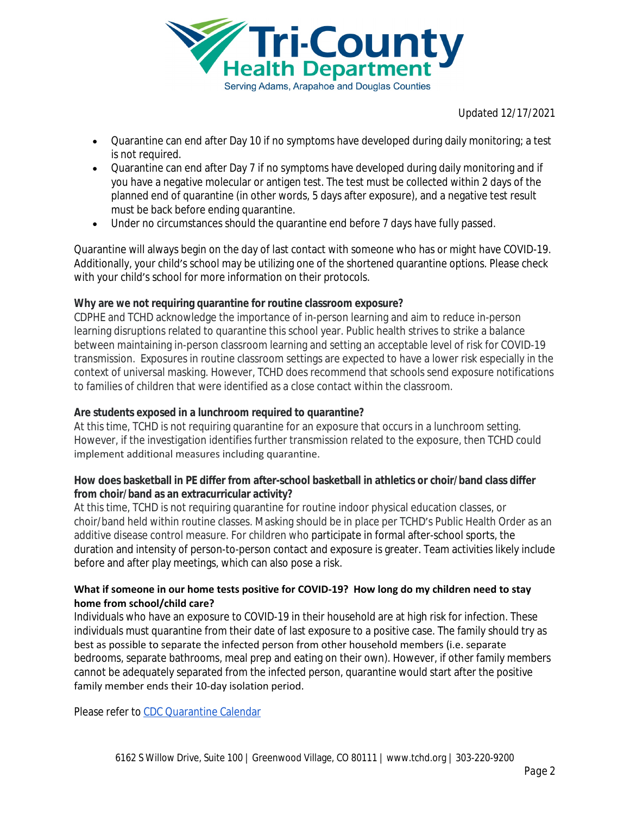

- Quarantine can end after Day 10 if no symptoms have developed during daily monitoring; a test is not required.
- Quarantine can end after Day 7 if no symptoms have developed during daily monitoring and if you have a negative molecular or antigen test. The test must be collected within 2 days of the planned end of quarantine (in other words, 5 days after exposure), and a negative test result must be back before ending quarantine.
- Under no circumstances should the quarantine end before 7 days have fully passed.

Quarantine will always begin on the day of last contact with someone who has or might have COVID-19. Additionally, your child's school may be utilizing one of the shortened quarantine options. Please check with your child's school for more information on their protocols.

# **Why are we not requiring quarantine for routine classroom exposure?**

CDPHE and TCHD acknowledge the importance of in-person learning and aim to reduce in-person learning disruptions related to quarantine this school year. Public health strives to strike a balance between maintaining in-person classroom learning and setting an acceptable level of risk for COVID-19 transmission. Exposures in routine classroom settings are expected to have a lower risk especially in the context of universal masking. However, TCHD does recommend that schools send exposure notifications to families of children that were identified as a close contact within the classroom.

# **Are students exposed in a lunchroom required to quarantine?**

At this time, TCHD is not requiring quarantine for an exposure that occurs in a lunchroom setting. However, if the investigation identifies further transmission related to the exposure, then TCHD could implement additional measures including quarantine.

#### **How does basketball in PE differ from after-school basketball in athletics or choir/band class differ from choir/band as an extracurricular activity?**

At this time, TCHD is not requiring quarantine for routine indoor physical education classes, or choir/band held within routine classes. Masking should be in place per TCHD's Public Health Order as an additive disease control measure. For children who participate in formal after-school sports, the duration and intensity of person-to-person contact and exposure is greater. Team activities likely include before and after play meetings, which can also pose a risk.

#### **What if someone in our home tests positive for COVID-19? How long do my children need to stay home from school/child care?**

Individuals who have an exposure to COVID-19 in their household are at high risk for infection. These individuals must quarantine from their date of last exposure to a positive case. The family should try as best as possible to separate the infected person from other household members (i.e. separate bedrooms, separate bathrooms, meal prep and eating on their own). However, if other family members cannot be adequately separated from the infected person, quarantine would start after the positive family member ends their 10-day isolation period.

Please refer to [CDC Quarantine Calendar](https://bbk12e1-cdn.myschoolcdn.com/ftpimages/162/misc/misc_231037.pdf)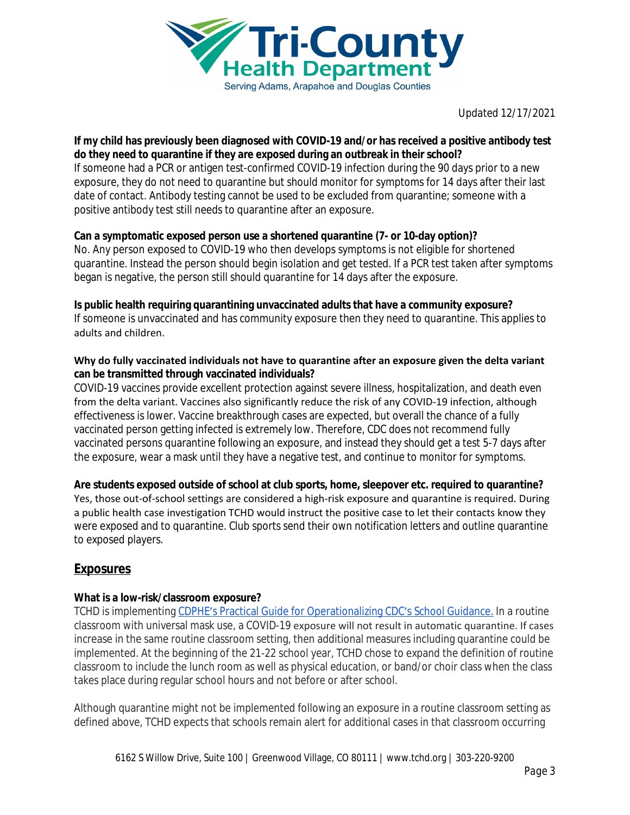

#### **If my child has previously been diagnosed with COVID-19 and/or has received a positive antibody test do they need to quarantine if they are exposed during an outbreak in their school?**

If someone had a PCR or antigen test-confirmed COVID-19 infection during the 90 days prior to a new exposure, they do not need to quarantine but should monitor for symptoms for 14 days after their last date of contact. Antibody testing cannot be used to be excluded from quarantine; someone with a positive antibody test still needs to quarantine after an exposure.

# **Can a symptomatic exposed person use a shortened quarantine (7- or 10-day option)?**

No. Any person exposed to COVID-19 who then develops symptoms is not eligible for shortened quarantine. Instead the person should begin isolation and get tested. If a PCR test taken after symptoms began is negative, the person still should quarantine for 14 days after the exposure.

# **Is public health requiring quarantining unvaccinated adults that have a community exposure?**

If someone is unvaccinated and has community exposure then they need to quarantine. This applies to adults and children.

#### **Why do fully vaccinated individuals not have to quarantine after an exposure given the delta variant can be transmitted through vaccinated individuals?**

COVID-19 vaccines provide excellent protection against severe illness, hospitalization, and death even from the delta variant. Vaccines also significantly reduce the risk of any COVID-19 infection, although effectiveness is lower. Vaccine breakthrough cases are expected, but overall the chance of a fully vaccinated person getting infected is extremely low. Therefore, CDC does not recommend fully vaccinated persons quarantine following an exposure, and instead they should get a test 5-7 days after the exposure, wear a mask until they have a negative test, and continue to monitor for symptoms.

**Are students exposed outside of school at club sports, home, sleepover etc. required to quarantine?** Yes, those out-of-school settings are considered a high-risk exposure and quarantine is required. During a public health case investigation TCHD would instruct the positive case to let their contacts know they were exposed and to quarantine. Club sports send their own notification letters and outline quarantine to exposed players.

# **Exposures**

# **What is a low-risk/classroom exposure?**

TCHD is implementing CDPHE'[s Practical Guide for Operationalizing CDC](https://linkprotect.cudasvc.com/url?a=https%3a%2f%2fcovid19.colorado.gov%2fpractical-guide-for-operationalizing-cdc-school-guidance&c=E,1,TUz23G0tzj4bx7JzhwQVa8tbiikUR_Yol_ZA-IE1sQbisUasUAm1z2hDaf2F7rWsi_j8s_b3CqbhHziMhTyRd5XQDRnpMW0yXqJqcnn7GUGU1DQ,&typo=1)'s School Guidance. In a routine classroom with universal mask use, a COVID-19 exposure will not result in automatic quarantine. If cases increase in the same routine classroom setting, then additional measures including quarantine could be implemented. At the beginning of the 21-22 school year, TCHD chose to expand the definition of routine classroom to include the lunch room as well as physical education, or band/or choir class when the class takes place during regular school hours and not before or after school.

Although quarantine might not be implemented following an exposure in a routine classroom setting as defined above, TCHD expects that schools remain alert for additional cases in that classroom occurring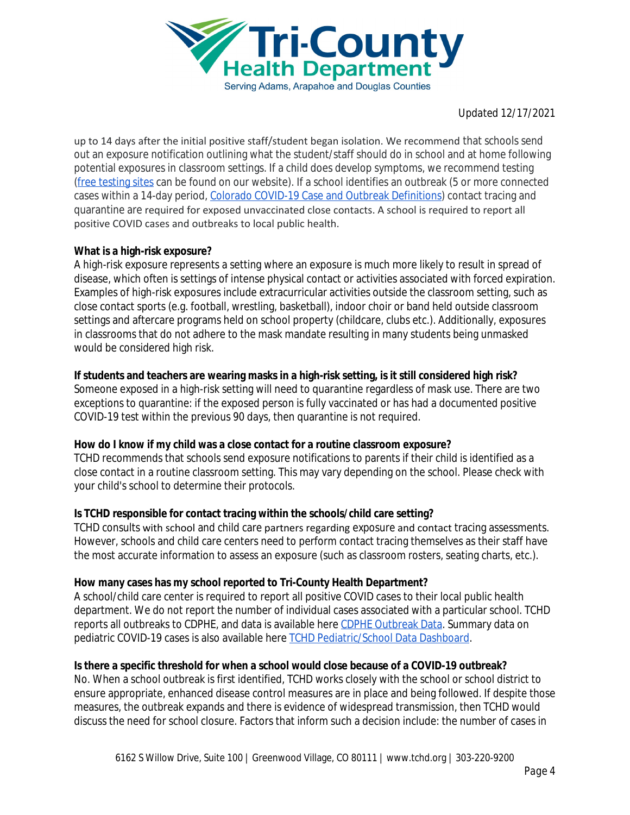

up to 14 days after the initial positive staff/student began isolation. We recommend that schools send out an exposure notification outlining what the student/staff should do in school and at home following potential exposures in classroom settings. If a child does develop symptoms, we recommend testing [\(free testing sites](https://www.tchd.org/827/Free-Testing-Sites) can be found on our website). If a school identifies an outbreak (5 or more connected cases within a 14-day period, [Colorado COVID-19 Case and Outbreak Definitions](https://docs.google.com/document/d/1e-IWLtzJNCgI2gzPONGvEASGgse85WuBmcToc9ev-74/edit)) contact tracing and quarantine are required for exposed unvaccinated close contacts. A school is required to report all positive COVID cases and outbreaks to local public health.

# **What is a high-risk exposure?**

A high-risk exposure represents a setting where an exposure is much more likely to result in spread of disease, which often is settings of intense physical contact or activities associated with forced expiration. Examples of high-risk exposures include extracurricular activities outside the classroom setting, such as close contact sports (e.g. football, wrestling, basketball), indoor choir or band held outside classroom settings and aftercare programs held on school property (childcare, clubs etc.). Additionally, exposures in classrooms that do not adhere to the mask mandate resulting in many students being unmasked would be considered high risk.

# **If students and teachers are wearing masks in a high-risk setting, is it still considered high risk?**

Someone exposed in a high-risk setting will need to quarantine regardless of mask use. There are two exceptions to quarantine: if the exposed person is fully vaccinated or has had a documented positive COVID-19 test within the previous 90 days, then quarantine is not required.

# **How do I know if my child was a close contact for a routine classroom exposure?**

TCHD recommends that schools send exposure notifications to parents if their child is identified as a close contact in a routine classroom setting. This may vary depending on the school. Please check with your child's school to determine their protocols.

# **Is TCHD responsible for contact tracing within the schools/child care setting?**

TCHD consults with school and child care partners regarding exposure and contact tracing assessments. However, schools and child care centers need to perform contact tracing themselves as their staff have the most accurate information to assess an exposure (such as classroom rosters, seating charts, etc.).

# **How many cases has my school reported to Tri-County Health Department?**

A school/child care center is required to report all positive COVID cases to their local public health department. We do not report the number of individual cases associated with a particular school. TCHD reports all outbreaks to CDPHE, and data is available here [CDPHE Outbreak Data](https://covid19.colorado.gov/covid19-outbreak-data). Summary data on pediatric COVID-19 cases is also available here [TCHD Pediatric/School Data Dashboard](https://data.tchd.org/covid19/PedsData/).

# **Is there a specific threshold for when a school would close because of a COVID-19 outbreak?**

No. When a school outbreak is first identified, TCHD works closely with the school or school district to ensure appropriate, enhanced disease control measures are in place and being followed. If despite those measures, the outbreak expands and there is evidence of widespread transmission, then TCHD would discuss the need for school closure. Factors that inform such a decision include: the number of cases in